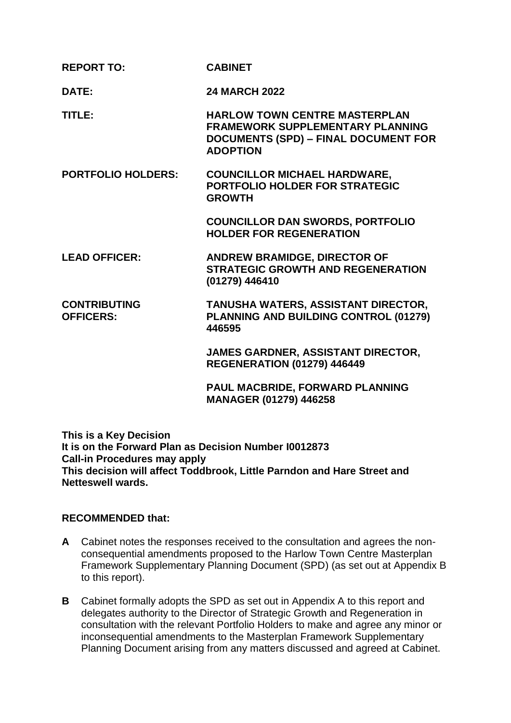| <b>REPORT TO:</b>                       | <b>CABINET</b>                                                                                                                                    |
|-----------------------------------------|---------------------------------------------------------------------------------------------------------------------------------------------------|
| DATE:                                   | <b>24 MARCH 2022</b>                                                                                                                              |
| <b>TITLE:</b>                           | <b>HARLOW TOWN CENTRE MASTERPLAN</b><br><b>FRAMEWORK SUPPLEMENTARY PLANNING</b><br><b>DOCUMENTS (SPD) - FINAL DOCUMENT FOR</b><br><b>ADOPTION</b> |
| <b>PORTFOLIO HOLDERS:</b>               | <b>COUNCILLOR MICHAEL HARDWARE,</b><br><b>PORTFOLIO HOLDER FOR STRATEGIC</b><br><b>GROWTH</b>                                                     |
|                                         | <b>COUNCILLOR DAN SWORDS, PORTFOLIO</b><br><b>HOLDER FOR REGENERATION</b>                                                                         |
| <b>LEAD OFFICER:</b>                    | <b>ANDREW BRAMIDGE, DIRECTOR OF</b><br><b>STRATEGIC GROWTH AND REGENERATION</b><br>(01279) 446410                                                 |
| <b>CONTRIBUTING</b><br><b>OFFICERS:</b> | <b>TANUSHA WATERS, ASSISTANT DIRECTOR,</b><br>PLANNING AND BUILDING CONTROL (01279)<br>446595                                                     |
|                                         | JAMES GARDNER, ASSISTANT DIRECTOR,<br><b>REGENERATION (01279) 446449</b>                                                                          |
|                                         | PAUL MACBRIDE, FORWARD PLANNING<br>MANAGER (01279) 446258                                                                                         |

**This is a Key Decision It is on the Forward Plan as Decision Number I0012873 Call-in Procedures may apply This decision will affect Toddbrook, Little Parndon and Hare Street and Netteswell wards.**

### **RECOMMENDED that:**

- **A** Cabinet notes the responses received to the consultation and agrees the nonconsequential amendments proposed to the Harlow Town Centre Masterplan Framework Supplementary Planning Document (SPD) (as set out at Appendix B to this report).
- **B** Cabinet formally adopts the SPD as set out in Appendix A to this report and delegates authority to the Director of Strategic Growth and Regeneration in consultation with the relevant Portfolio Holders to make and agree any minor or inconsequential amendments to the Masterplan Framework Supplementary Planning Document arising from any matters discussed and agreed at Cabinet.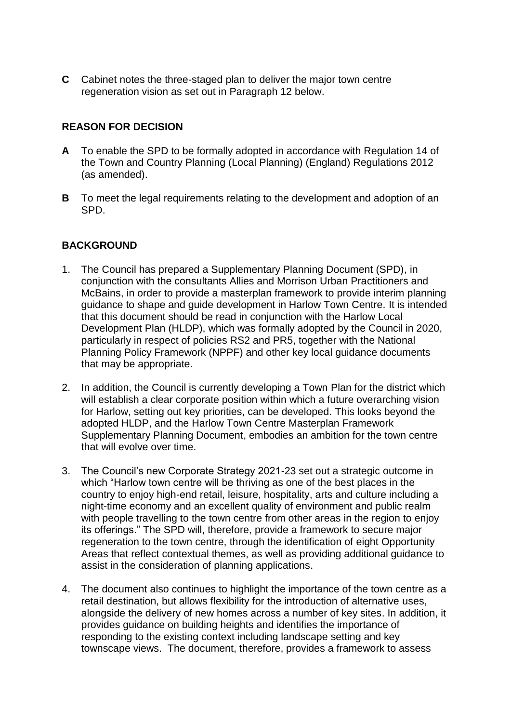**C** Cabinet notes the three-staged plan to deliver the major town centre regeneration vision as set out in Paragraph 12 below.

# **REASON FOR DECISION**

- **A** To enable the SPD to be formally adopted in accordance with Regulation 14 of the Town and Country Planning (Local Planning) (England) Regulations 2012 (as amended).
- **B** To meet the legal requirements relating to the development and adoption of an SPD.

# **BACKGROUND**

- 1. The Council has prepared a Supplementary Planning Document (SPD), in conjunction with the consultants Allies and Morrison Urban Practitioners and McBains, in order to provide a masterplan framework to provide interim planning guidance to shape and guide development in Harlow Town Centre. It is intended that this document should be read in conjunction with the Harlow Local Development Plan (HLDP), which was formally adopted by the Council in 2020, particularly in respect of policies RS2 and PR5, together with the National Planning Policy Framework (NPPF) and other key local guidance documents that may be appropriate.
- 2. In addition, the Council is currently developing a Town Plan for the district which will establish a clear corporate position within which a future overarching vision for Harlow, setting out key priorities, can be developed. This looks beyond the adopted HLDP, and the Harlow Town Centre Masterplan Framework Supplementary Planning Document, embodies an ambition for the town centre that will evolve over time.
- 3. The Council's new Corporate Strategy 2021-23 set out a strategic outcome in which "Harlow town centre will be thriving as one of the best places in the country to enjoy high-end retail, leisure, hospitality, arts and culture including a night-time economy and an excellent quality of environment and public realm with people travelling to the town centre from other areas in the region to enjoy its offerings." The SPD will, therefore, provide a framework to secure major regeneration to the town centre, through the identification of eight Opportunity Areas that reflect contextual themes, as well as providing additional guidance to assist in the consideration of planning applications.
- 4. The document also continues to highlight the importance of the town centre as a retail destination, but allows flexibility for the introduction of alternative uses, alongside the delivery of new homes across a number of key sites. In addition, it provides guidance on building heights and identifies the importance of responding to the existing context including landscape setting and key townscape views. The document, therefore, provides a framework to assess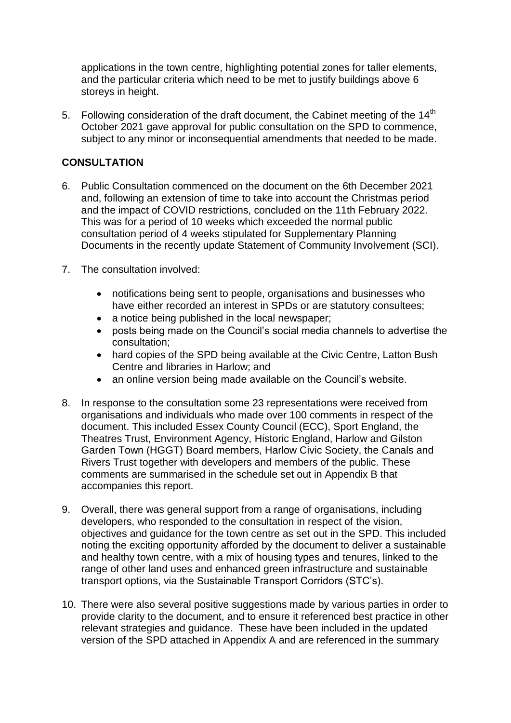applications in the town centre, highlighting potential zones for taller elements, and the particular criteria which need to be met to justify buildings above 6 storeys in height.

5. Following consideration of the draft document, the Cabinet meeting of the  $14<sup>th</sup>$ October 2021 gave approval for public consultation on the SPD to commence, subject to any minor or inconsequential amendments that needed to be made.

# **CONSULTATION**

- 6. Public Consultation commenced on the document on the 6th December 2021 and, following an extension of time to take into account the Christmas period and the impact of COVID restrictions, concluded on the 11th February 2022. This was for a period of 10 weeks which exceeded the normal public consultation period of 4 weeks stipulated for Supplementary Planning Documents in the recently update Statement of Community Involvement (SCI).
- 7. The consultation involved:
	- notifications being sent to people, organisations and businesses who have either recorded an interest in SPDs or are statutory consultees;
	- a notice being published in the local newspaper;
	- posts being made on the Council's social media channels to advertise the consultation;
	- hard copies of the SPD being available at the Civic Centre, Latton Bush Centre and libraries in Harlow; and
	- an online version being made available on the Council's website.
- 8. In response to the consultation some 23 representations were received from organisations and individuals who made over 100 comments in respect of the document. This included Essex County Council (ECC), Sport England, the Theatres Trust, Environment Agency, Historic England, Harlow and Gilston Garden Town (HGGT) Board members, Harlow Civic Society, the Canals and Rivers Trust together with developers and members of the public. These comments are summarised in the schedule set out in Appendix B that accompanies this report.
- 9. Overall, there was general support from a range of organisations, including developers, who responded to the consultation in respect of the vision, objectives and guidance for the town centre as set out in the SPD. This included noting the exciting opportunity afforded by the document to deliver a sustainable and healthy town centre, with a mix of housing types and tenures, linked to the range of other land uses and enhanced green infrastructure and sustainable transport options, via the Sustainable Transport Corridors (STC's).
- 10. There were also several positive suggestions made by various parties in order to provide clarity to the document, and to ensure it referenced best practice in other relevant strategies and guidance. These have been included in the updated version of the SPD attached in Appendix A and are referenced in the summary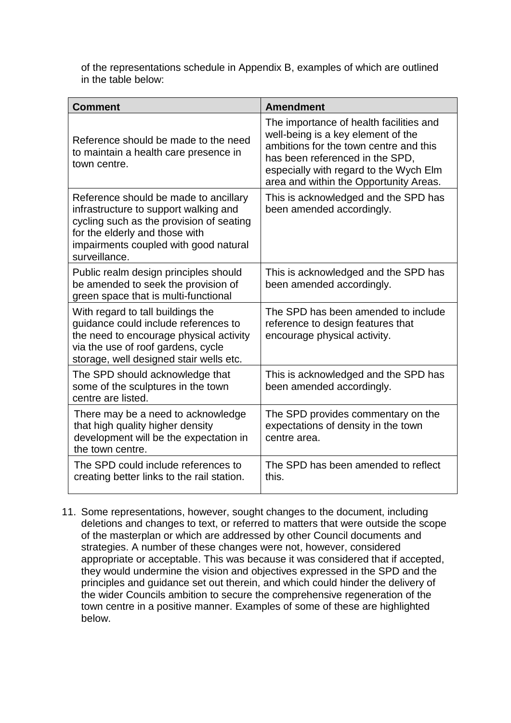of the representations schedule in Appendix B, examples of which are outlined in the table below:

| <b>Comment</b>                                                                                                                                                                                                         | <b>Amendment</b>                                                                                                                                                                                                                               |
|------------------------------------------------------------------------------------------------------------------------------------------------------------------------------------------------------------------------|------------------------------------------------------------------------------------------------------------------------------------------------------------------------------------------------------------------------------------------------|
| Reference should be made to the need<br>to maintain a health care presence in<br>town centre.                                                                                                                          | The importance of health facilities and<br>well-being is a key element of the<br>ambitions for the town centre and this<br>has been referenced in the SPD,<br>especially with regard to the Wych Elm<br>area and within the Opportunity Areas. |
| Reference should be made to ancillary<br>infrastructure to support walking and<br>cycling such as the provision of seating<br>for the elderly and those with<br>impairments coupled with good natural<br>surveillance. | This is acknowledged and the SPD has<br>been amended accordingly.                                                                                                                                                                              |
| Public realm design principles should<br>be amended to seek the provision of<br>green space that is multi-functional                                                                                                   | This is acknowledged and the SPD has<br>been amended accordingly.                                                                                                                                                                              |
| With regard to tall buildings the<br>guidance could include references to<br>the need to encourage physical activity<br>via the use of roof gardens, cycle<br>storage, well designed stair wells etc.                  | The SPD has been amended to include<br>reference to design features that<br>encourage physical activity.                                                                                                                                       |
| The SPD should acknowledge that<br>some of the sculptures in the town<br>centre are listed.                                                                                                                            | This is acknowledged and the SPD has<br>been amended accordingly.                                                                                                                                                                              |
| There may be a need to acknowledge<br>that high quality higher density<br>development will be the expectation in<br>the town centre.                                                                                   | The SPD provides commentary on the<br>expectations of density in the town<br>centre area.                                                                                                                                                      |
| The SPD could include references to<br>creating better links to the rail station.                                                                                                                                      | The SPD has been amended to reflect<br>this.                                                                                                                                                                                                   |

11. Some representations, however, sought changes to the document, including deletions and changes to text, or referred to matters that were outside the scope of the masterplan or which are addressed by other Council documents and strategies. A number of these changes were not, however, considered appropriate or acceptable. This was because it was considered that if accepted, they would undermine the vision and objectives expressed in the SPD and the principles and guidance set out therein, and which could hinder the delivery of the wider Councils ambition to secure the comprehensive regeneration of the town centre in a positive manner. Examples of some of these are highlighted below.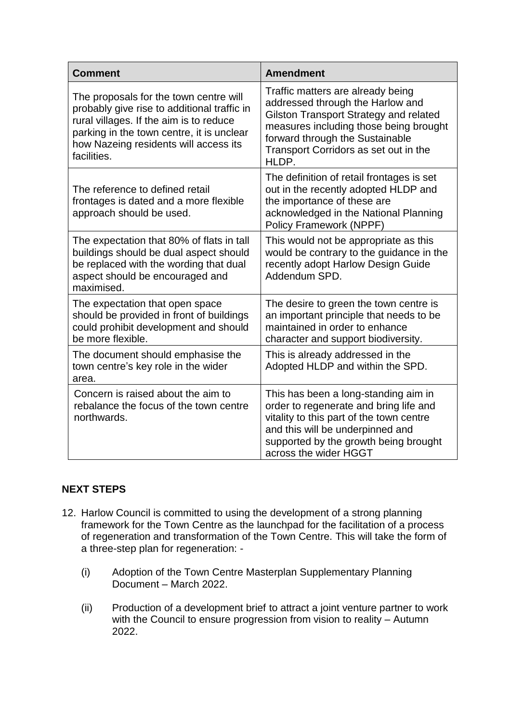| <b>Comment</b>                                                                                                                                                                                                                        | <b>Amendment</b>                                                                                                                                                                                                                               |
|---------------------------------------------------------------------------------------------------------------------------------------------------------------------------------------------------------------------------------------|------------------------------------------------------------------------------------------------------------------------------------------------------------------------------------------------------------------------------------------------|
| The proposals for the town centre will<br>probably give rise to additional traffic in<br>rural villages. If the aim is to reduce<br>parking in the town centre, it is unclear<br>how Nazeing residents will access its<br>facilities. | Traffic matters are already being<br>addressed through the Harlow and<br>Gilston Transport Strategy and related<br>measures including those being brought<br>forward through the Sustainable<br>Transport Corridors as set out in the<br>HLDP. |
| The reference to defined retail<br>frontages is dated and a more flexible<br>approach should be used.                                                                                                                                 | The definition of retail frontages is set<br>out in the recently adopted HLDP and<br>the importance of these are<br>acknowledged in the National Planning<br>Policy Framework (NPPF)                                                           |
| The expectation that 80% of flats in tall<br>buildings should be dual aspect should<br>be replaced with the wording that dual<br>aspect should be encouraged and<br>maximised.                                                        | This would not be appropriate as this<br>would be contrary to the guidance in the<br>recently adopt Harlow Design Guide<br>Addendum SPD.                                                                                                       |
| The expectation that open space<br>should be provided in front of buildings<br>could prohibit development and should<br>be more flexible.                                                                                             | The desire to green the town centre is<br>an important principle that needs to be<br>maintained in order to enhance<br>character and support biodiversity.                                                                                     |
| The document should emphasise the<br>town centre's key role in the wider<br>area.                                                                                                                                                     | This is already addressed in the<br>Adopted HLDP and within the SPD.                                                                                                                                                                           |
| Concern is raised about the aim to<br>rebalance the focus of the town centre<br>northwards.                                                                                                                                           | This has been a long-standing aim in<br>order to regenerate and bring life and<br>vitality to this part of the town centre<br>and this will be underpinned and<br>supported by the growth being brought<br>across the wider HGGT               |

# **NEXT STEPS**

- 12. Harlow Council is committed to using the development of a strong planning framework for the Town Centre as the launchpad for the facilitation of a process of regeneration and transformation of the Town Centre. This will take the form of a three-step plan for regeneration: -
	- (i) Adoption of the Town Centre Masterplan Supplementary Planning Document – March 2022.
	- (ii) Production of a development brief to attract a joint venture partner to work with the Council to ensure progression from vision to reality – Autumn 2022.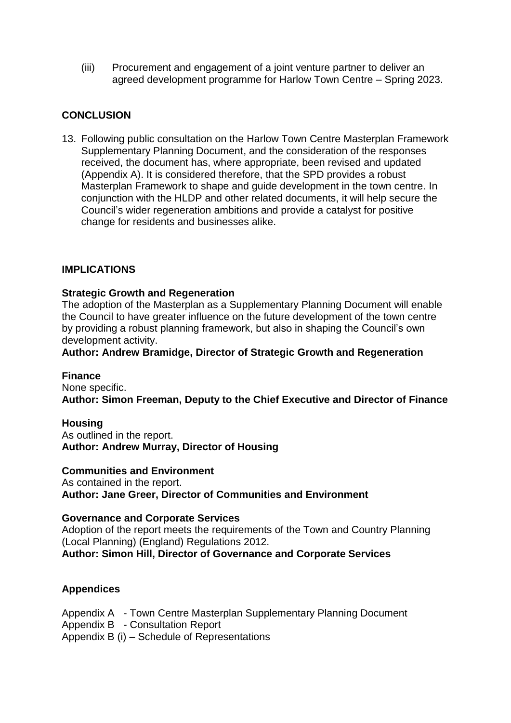(iii) Procurement and engagement of a joint venture partner to deliver an agreed development programme for Harlow Town Centre – Spring 2023.

# **CONCLUSION**

13. Following public consultation on the Harlow Town Centre Masterplan Framework Supplementary Planning Document, and the consideration of the responses received, the document has, where appropriate, been revised and updated (Appendix A). It is considered therefore, that the SPD provides a robust Masterplan Framework to shape and guide development in the town centre. In conjunction with the HLDP and other related documents, it will help secure the Council's wider regeneration ambitions and provide a catalyst for positive change for residents and businesses alike.

### **IMPLICATIONS**

#### **Strategic Growth and Regeneration**

The adoption of the Masterplan as a Supplementary Planning Document will enable the Council to have greater influence on the future development of the town centre by providing a robust planning framework, but also in shaping the Council's own development activity.

#### **Author: Andrew Bramidge, Director of Strategic Growth and Regeneration**

#### **Finance**

None specific. **Author: Simon Freeman, Deputy to the Chief Executive and Director of Finance**

#### **Housing**

As outlined in the report. **Author: Andrew Murray, Director of Housing** 

#### **Communities and Environment**

As contained in the report. **Author: Jane Greer, Director of Communities and Environment**

#### **Governance and Corporate Services**

Adoption of the report meets the requirements of the Town and Country Planning (Local Planning) (England) Regulations 2012.

**Author: Simon Hill, Director of Governance and Corporate Services**

### **Appendices**

Appendix A - Town Centre Masterplan Supplementary Planning Document Appendix B - Consultation Report Appendix B (i) – Schedule of Representations